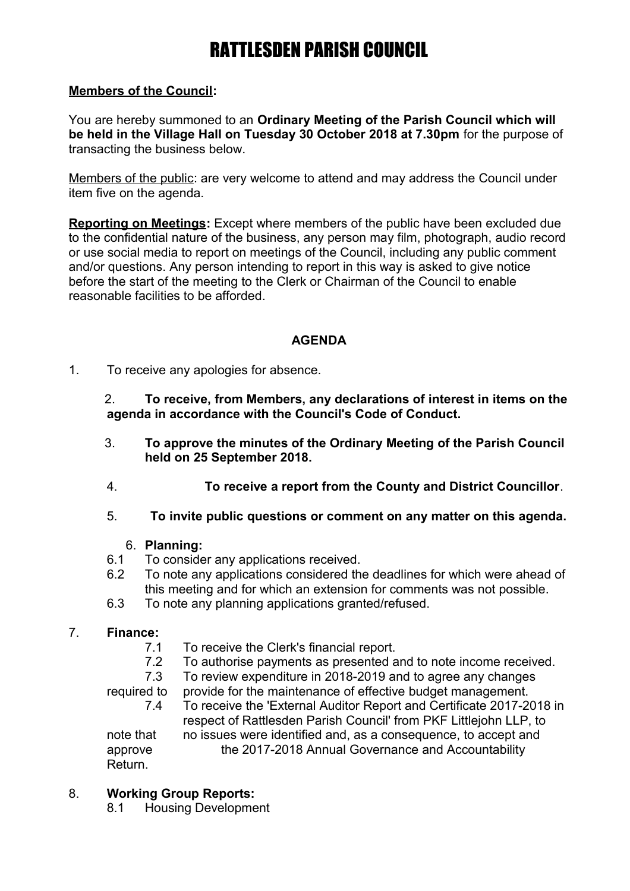## **Members of the Council:**

You are hereby summoned to an **Ordinary Meeting of the Parish Council which will be held in the Village Hall on Tuesday 30 October 2018 at 7.30pm** for the purpose of transacting the business below.

Members of the public: are very welcome to attend and may address the Council under item five on the agenda.

**Reporting on Meetings:** Except where members of the public have been excluded due to the confidential nature of the business, any person may film, photograph, audio record or use social media to report on meetings of the Council, including any public comment and/or questions. Any person intending to report in this way is asked to give notice before the start of the meeting to the Clerk or Chairman of the Council to enable reasonable facilities to be afforded.

## **AGENDA**

1. To receive any apologies for absence.

2. **To receive, from Members, any declarations of interest in items on the agenda in accordance with the Council's Code of Conduct.**

- 3. **To approve the minutes of the Ordinary Meeting of the Parish Council held on 25 September 2018.**
- 4. **To receive a report from the County and District Councillor**.
- 5. **To invite public questions or comment on any matter on this agenda.**

### 6. **Planning:**

- 6.1 To consider any applications received.
- 6.2 To note any applications considered the deadlines for which were ahead of this meeting and for which an extension for comments was not possible.
- 6.3 To note any planning applications granted/refused.

### 7. **Finance:**

- 7.1 To receive the Clerk's financial report.
- 7.2 To authorise payments as presented and to note income received.
- 7.3 To review expenditure in 2018-2019 and to agree any changes

required to provide for the maintenance of effective budget management. 7.4 To receive the 'External Auditor Report and Certificate 2017-2018 in respect of Rattlesden Parish Council' from PKF Littlejohn LLP, to note that no issues were identified and, as a consequence, to accept and

approve the 2017-2018 Annual Governance and Accountability Return.

## 8. **Working Group Reports:**

8.1 Housing Development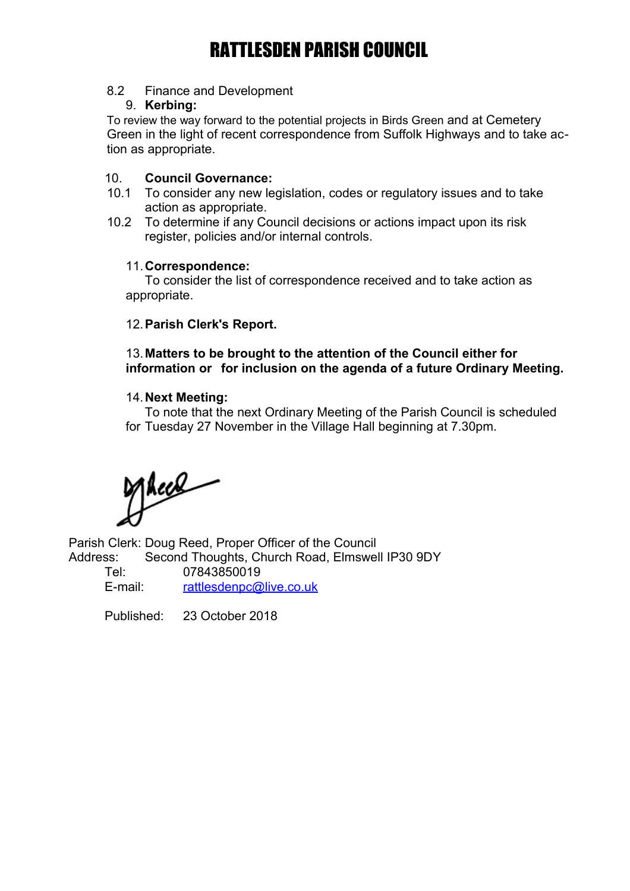### 8.2 Finance and Development

#### 9. **Kerbing:**

To review the way forward to the potential projects in Birds Green and at Cemetery Green in the light of recent correspondence from Suffolk Highways and to take action as appropriate.

#### 10. **Council Governance:**

- 10.1 To consider any new legislation, codes or regulatory issues and to take action as appropriate.
- 10.2 To determine if any Council decisions or actions impact upon its risk register, policies and/or internal controls.

#### 11.**Correspondence:**

To consider the list of correspondence received and to take action as appropriate.

### 12.**Parish Clerk's Report.**

## 13.**Matters to be brought to the attention of the Council either for information or for inclusion on the agenda of a future Ordinary Meeting.**

#### 14.**Next Meeting:**

To note that the next Ordinary Meeting of the Parish Council is scheduled for Tuesday 27 November in the Village Hall beginning at 7.30pm.

Theel

Parish Clerk: Doug Reed, Proper Officer of the Council Address: Second Thoughts, Church Road, Elmswell IP30 9DY

Tel: 07843850019 E-mail: [rattlesdenpc@live.co.uk](mailto:rattlesdenpc@live.co.uk)

Published: 23 October 2018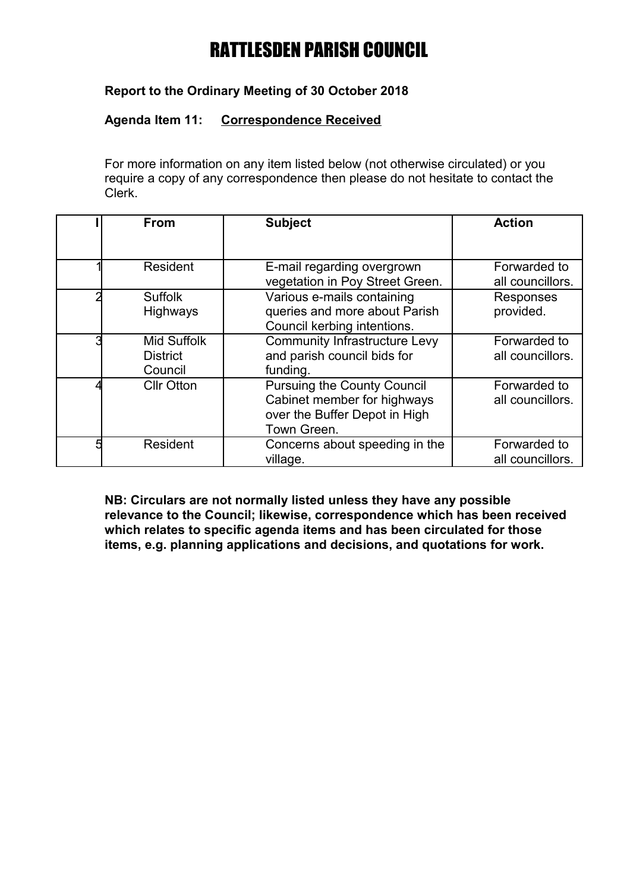## **Report to the Ordinary Meeting of 30 October 2018**

#### **Agenda Item 11: Correspondence Received**

For more information on any item listed below (not otherwise circulated) or you require a copy of any correspondence then please do not hesitate to contact the Clerk.

|   | <b>From</b>                                      | <b>Subject</b>                                                                                                    | <b>Action</b>                    |
|---|--------------------------------------------------|-------------------------------------------------------------------------------------------------------------------|----------------------------------|
|   | Resident                                         | E-mail regarding overgrown<br>vegetation in Poy Street Green.                                                     | Forwarded to<br>all councillors. |
|   | <b>Suffolk</b><br><b>Highways</b>                | Various e-mails containing<br>queries and more about Parish<br>Council kerbing intentions.                        | Responses<br>provided.           |
|   | <b>Mid Suffolk</b><br><b>District</b><br>Council | <b>Community Infrastructure Levy</b><br>and parish council bids for<br>funding.                                   | Forwarded to<br>all councillors. |
|   | <b>CIIr Otton</b>                                | <b>Pursuing the County Council</b><br>Cabinet member for highways<br>over the Buffer Depot in High<br>Town Green. | Forwarded to<br>all councillors. |
| 5 | Resident                                         | Concerns about speeding in the<br>village.                                                                        | Forwarded to<br>all councillors. |

**NB: Circulars are not normally listed unless they have any possible relevance to the Council; likewise, correspondence which has been received which relates to specific agenda items and has been circulated for those items, e.g. planning applications and decisions, and quotations for work.**